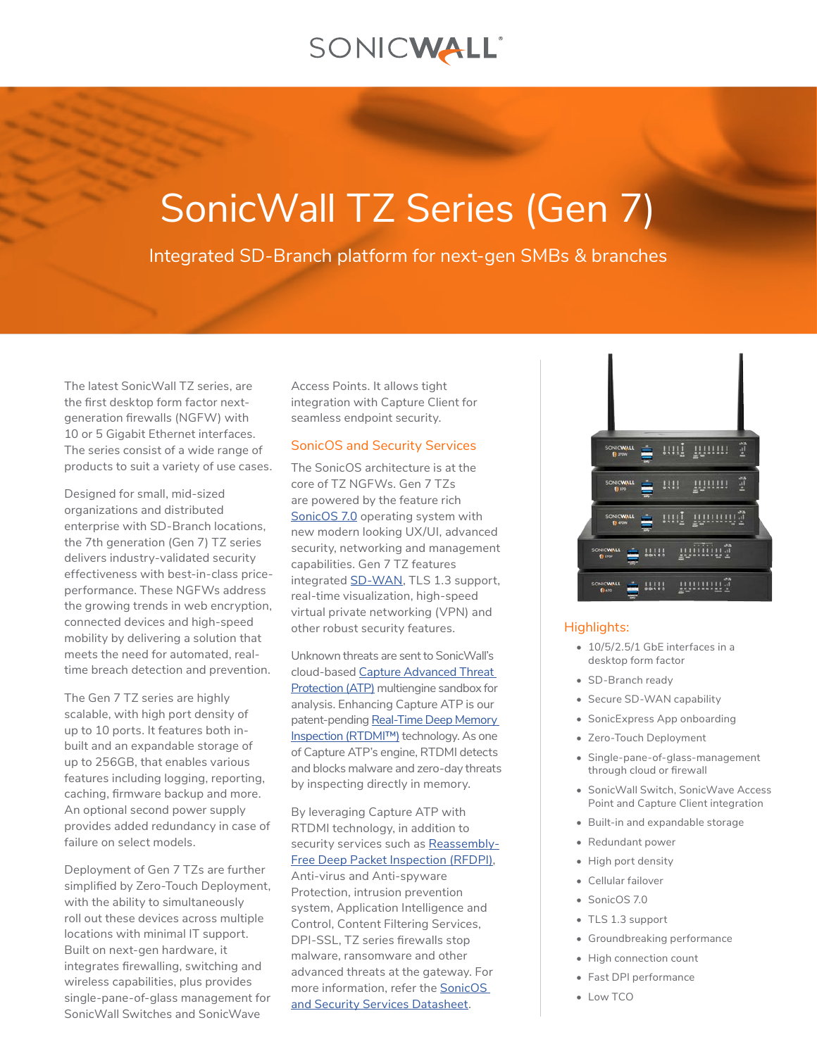# SONICWALL®

# SonicWall TZ Series (Gen 7)

Integrated SD-Branch platform for next-gen SMBs & branches

The latest SonicWall TZ series, are the first desktop form factor nextgeneration firewalls (NGFW) with 10 or 5 Gigabit Ethernet interfaces. The series consist of a wide range of products to suit a variety of use cases.

Designed for small, mid-sized organizations and distributed enterprise with SD-Branch locations, the 7th generation (Gen 7) TZ series delivers industry-validated security effectiveness with best-in-class priceperformance. These NGFWs address the growing trends in web encryption, connected devices and high-speed mobility by delivering a solution that meets the need for automated, realtime breach detection and prevention.

The Gen 7 TZ series are highly scalable, with high port density of up to 10 ports. It features both inbuilt and an expandable storage of up to 256GB, that enables various features including logging, reporting, caching, firmware backup and more. An optional second power supply provides added redundancy in case of failure on select models.

Deployment of Gen 7 TZs are further simplified by Zero-Touch Deployment, with the ability to simultaneously roll out these devices across multiple locations with minimal IT support. Built on next-gen hardware, it integrates firewalling, switching and wireless capabilities, plus provides single-pane-of-glass management for SonicWall Switches and SonicWave

Access Points. It allows tight integration with Capture Client for seamless endpoint security.

#### SonicOS and Security Services

The SonicOS architecture is at the core of TZ NGFWs. Gen 7 TZs are powered by the feature rich [SonicOS 7.0](https://www.sonicwall.com/resources/datasheet/datasheet-sonicos-7/) operating system with new modern looking UX/UI, advanced security, networking and management capabilities. Gen 7 TZ features integrated **[SD-WAN](https://www.sonicwall.com/solutions/use-cases/secure-sd-wan/)**, TLS 1.3 support, real-time visualization, high-speed virtual private networking (VPN) and other robust security features.

Unknown threats are sent to SonicWall's cloud-based [Capture Advanced Threat](https://www.sonicwall.com/products/firewalls/security-services/capture-advanced-threat-protection/)  [Protection \(ATP\)](https://www.sonicwall.com/products/firewalls/security-services/capture-advanced-threat-protection/) multiengine sandbox for analysis. Enhancing Capture ATP is our patent-pending Real-Time Deep Memory [Inspection \(RTDMI™\)](https://www.sonicwall.com/resources/brief/tech-brief-advantages-of-reassembly-free-deep-packet-inspection/) technology. As one of Capture ATP's engine, RTDMI detects and blocks malware and zero-day threats by inspecting directly in memory.

By leveraging Capture ATP with RTDMI technology, in addition to security services such as [Reassembly-](https://www.sonicwall.com/resources/brief/tech-brief-advantages-of-reassembly-free-deep-packet-inspection/)[Free Deep Packet Inspection \(RFDPI\)](https://www.sonicwall.com/resources/brief/tech-brief-advantages-of-reassembly-free-deep-packet-inspection/), Anti-virus and Anti-spyware Protection, intrusion prevention system, Application Intelligence and Control, Content Filtering Services, DPI-SSL, TZ series firewalls stop malware, ransomware and other advanced threats at the gateway. For more information, refer the [SonicOS](https://www.sonicwall.com/resources/datasheet/datasheet-sonicos-7/)  [and Security Services Datasheet](https://www.sonicwall.com/resources/datasheet/datasheet-sonicos-7/).



#### Highlights:

- 10/5/2.5/1 GbE interfaces in a desktop form factor
- SD-Branch ready
- Secure SD-WAN capability
- SonicExpress App onboarding
- Zero-Touch Deployment
- Single-pane-of-glass-management through cloud or firewall
- SonicWall Switch, SonicWave Access Point and Capture Client integration
- Built-in and expandable storage
- Redundant power
- High port density
- Cellular failover
- SonicOS 7.0
- TLS 1.3 support
- Groundbreaking performance
- High connection count
- Fast DPI performance
- Low TCO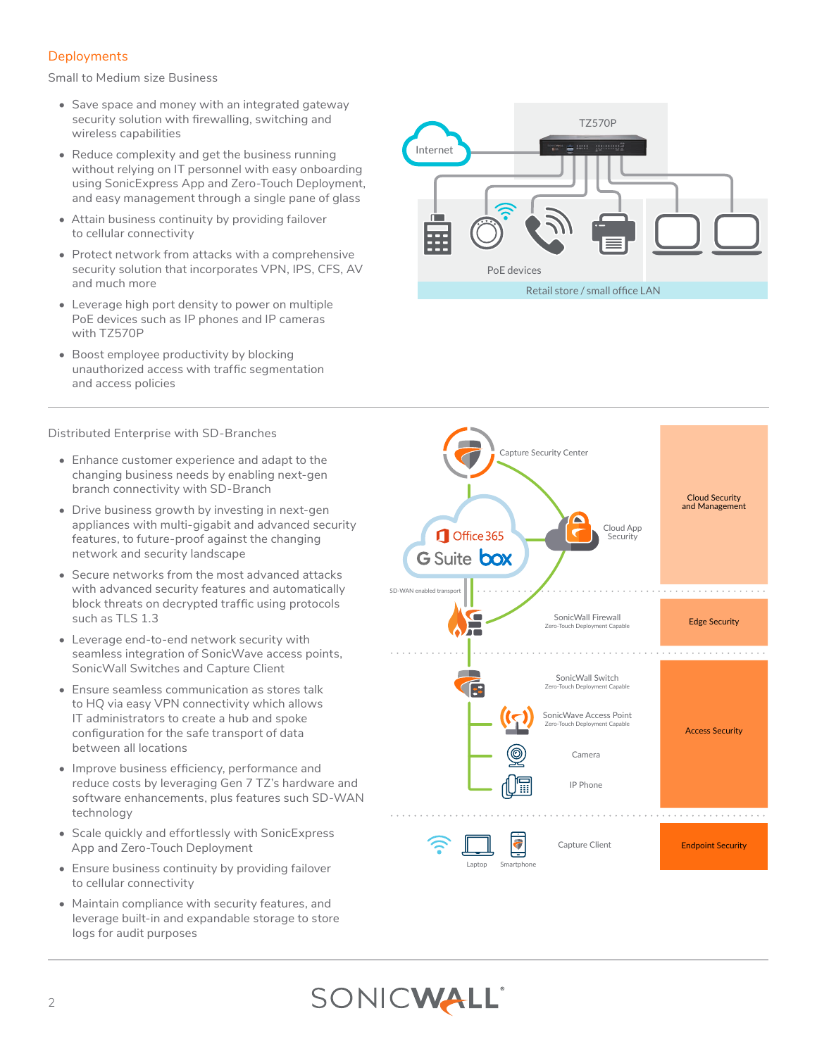# **Deployments**

Small to Medium size Business

- Save space and money with an integrated gateway security solution with firewalling, switching and wireless capabilities
- Reduce complexity and get the business running without relying on IT personnel with easy onboarding using SonicExpress App and Zero-Touch Deployment, and easy management through a single pane of glass
- Attain business continuity by providing failover to cellular connectivity
- Protect network from attacks with a comprehensive security solution that incorporates VPN, IPS, CFS, AV and much more
- Leverage high port density to power on multiple PoE devices such as IP phones and IP cameras with TZ570P
- Boost employee productivity by blocking unauthorized access with traffic segmentation and access policies

Distributed Enterprise with SD-Branches

- Enhance customer experience and adapt to the changing business needs by enabling next-gen branch connectivity with SD-Branch
- Drive business growth by investing in next-gen appliances with multi-gigabit and advanced security features, to future-proof against the changing network and security landscape
- Secure networks from the most advanced attacks with advanced security features and automatically block threats on decrypted traffic using protocols such as TLS 1.3
- Leverage end-to-end network security with seamless integration of SonicWave access points, SonicWall Switches and Capture Client
- Ensure seamless communication as stores talk to HQ via easy VPN connectivity which allows IT administrators to create a hub and spoke configuration for the safe transport of data between all locations
- Improve business efficiency, performance and reduce costs by leveraging Gen 7 TZ's hardware and software enhancements, plus features such SD-WAN technology
- Scale quickly and effortlessly with SonicExpress App and Zero-Touch Deployment
- Ensure business continuity by providing failover to cellular connectivity
- Maintain compliance with security features, and leverage built-in and expandable storage to store logs for audit purposes



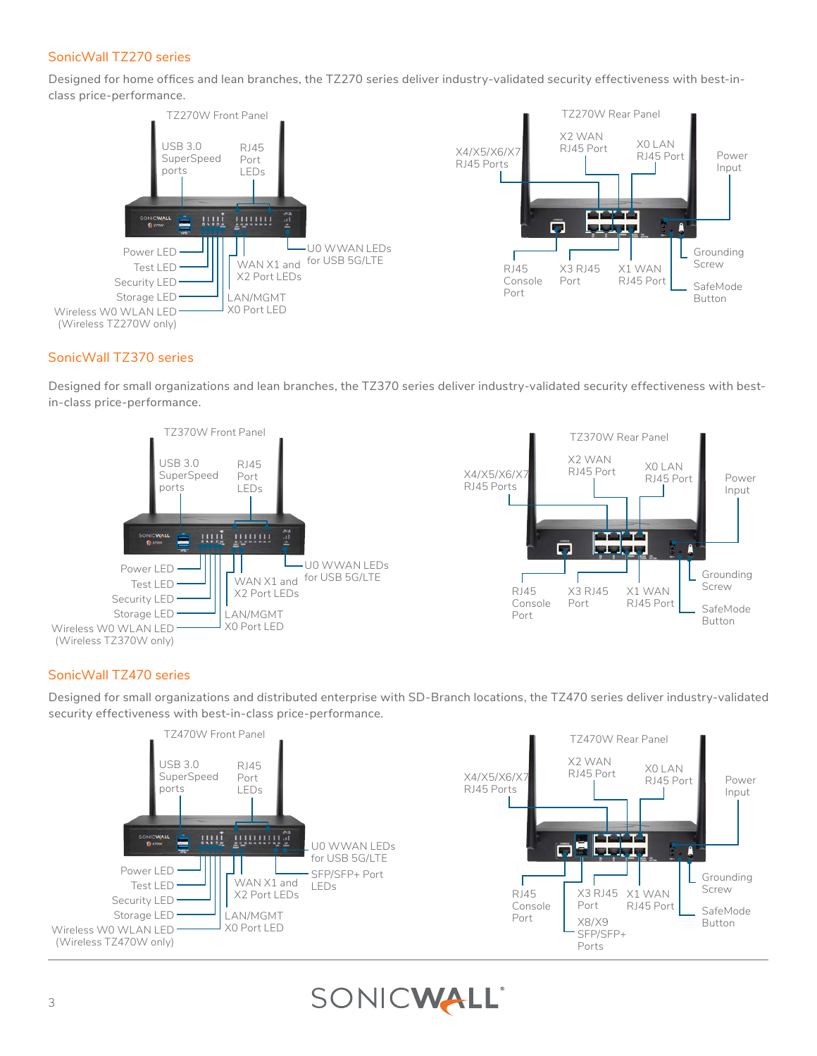# SonicWall TZ270 series

Designed for home offices and lean branches, the TZ270 series deliver industry-validated security effectiveness with best-inclass price-performance.



# SonicWall TZ370 series

Designed for small organizations and lean branches, the TZ370 series deliver industry-validated security effectiveness with bestin-class price-performance.





# SonicWall TZ470 series

Designed for small organizations and distributed enterprise with SD-Branch locations, the TZ470 series deliver industry-validated security effectiveness with best-in-class price-performance.



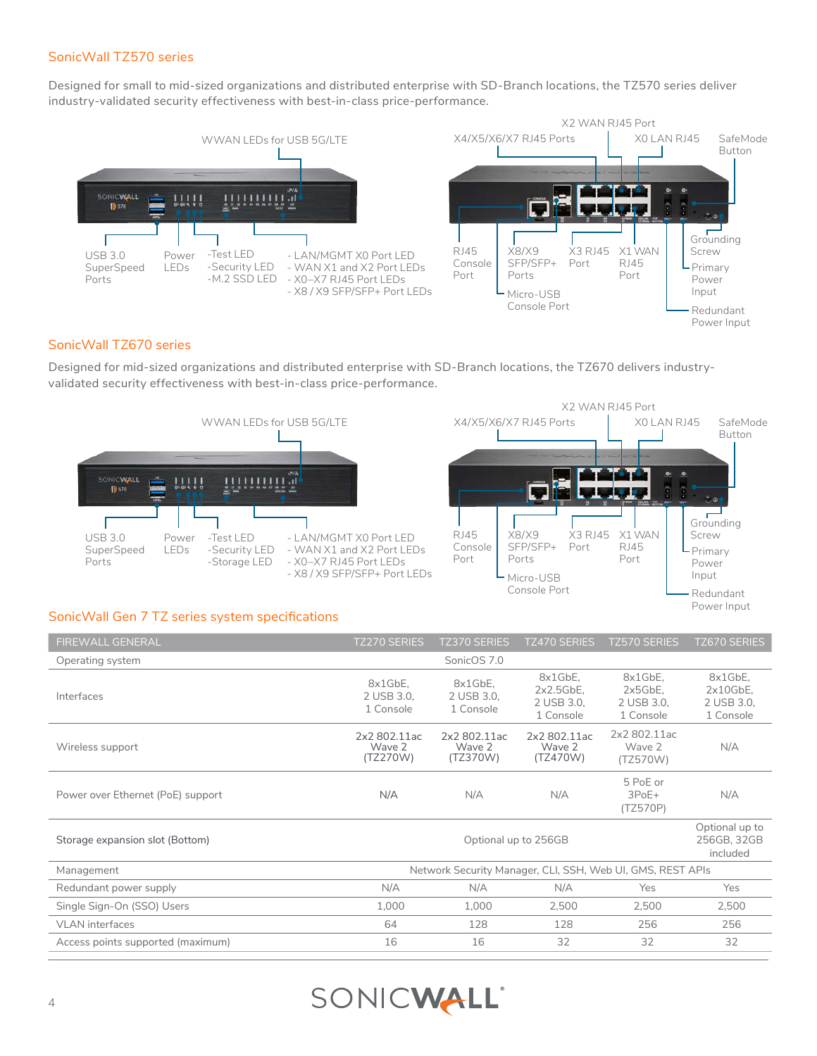### SonicWall TZ570 series

Designed for small to mid-sized organizations and distributed enterprise with SD-Branch locations, the TZ570 series deliver industry-validated security effectiveness with best-in-class price-performance.



## SonicWall TZ670 series

Designed for mid-sized organizations and distributed enterprise with SD-Branch locations, the TZ670 delivers industryvalidated security effectiveness with best-in-class price-performance.



#### SonicWall Gen 7 TZ series system specifications

| <b>FIREWALL GENERAL</b>           | <b>TZ270 SERIES</b><br><b>TZ370 SERIES</b><br><b>TZ470 SERIES</b><br><b>TZ570 SERIES</b> |                                    |                                                |                                              | <b>TZ670 SERIES</b>                           |  |
|-----------------------------------|------------------------------------------------------------------------------------------|------------------------------------|------------------------------------------------|----------------------------------------------|-----------------------------------------------|--|
| Operating system                  |                                                                                          | SonicOS 7.0                        |                                                |                                              |                                               |  |
| Interfaces                        | 8x1GbE.<br>2 USB 3.0.<br>1 Console                                                       | 8x1GbE,<br>2 USB 3.0.<br>1 Console | 8x1GbE.<br>2x2.5GbE<br>2 USB 3.0.<br>1 Console | 8x1GbE,<br>2x5GbE<br>2 USB 3.0.<br>1 Console | 8x1GbE.<br>2x10GbE<br>2 USB 3.0.<br>1 Console |  |
| Wireless support                  | 2x2 802.11ac<br>Wave 2<br>(TZ270W)                                                       | 2x2 802.11ac<br>Wave 2<br>(TZ370W) | 2x2 802.11ac<br>Wave 2<br>(TZ470W)             | 2x2 802.11ac<br>Wave 2<br>(TZ570W)           | N/A                                           |  |
| Power over Ethernet (PoE) support | N/A                                                                                      | N/A                                | N/A                                            | 5 PoE or<br>$3PoE+$<br>(TZ570P)              | N/A                                           |  |
| Storage expansion slot (Bottom)   | Optional up to<br>Optional up to 256GB<br>256GB, 32GB                                    |                                    |                                                |                                              |                                               |  |
| Management                        | Network Security Manager, CLI, SSH, Web UI, GMS, REST APIs                               |                                    |                                                |                                              |                                               |  |
| Redundant power supply            | N/A                                                                                      | N/A                                | N/A                                            | Yes                                          | Yes                                           |  |
| Single Sign-On (SSO) Users        | 1.000                                                                                    | 1.000                              | 2,500                                          | 2.500                                        | 2,500                                         |  |
| <b>VLAN</b> interfaces            | 64                                                                                       | 128                                | 128                                            | 256                                          | 256                                           |  |
| Access points supported (maximum) | 16                                                                                       | 16                                 | 32                                             | 32                                           | 32                                            |  |

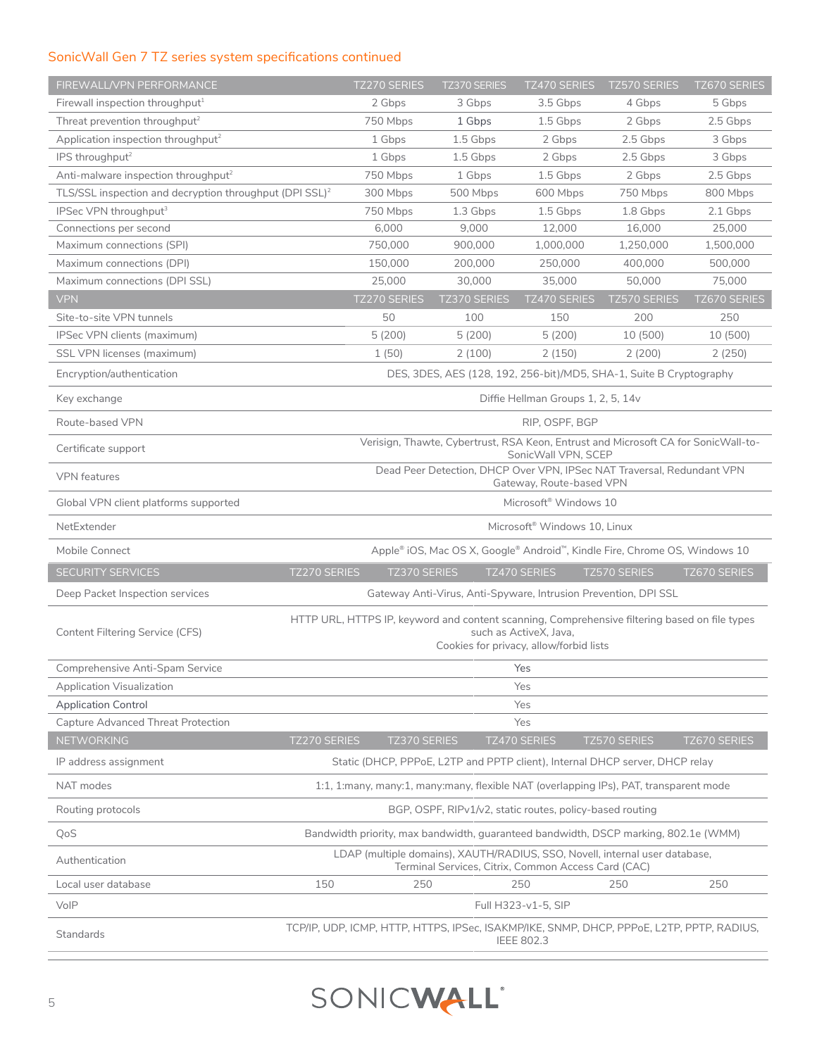# SonicWall Gen 7 TZ series system specifications continued

| FIREWALL/VPN PERFORMANCE                                            | <b>TZ270 SERIES</b>                                                                                                                                                | <b>TZ370 SERIES</b> | <b>TZ470 SERIES</b>                                                        | <b>TZ570 SERIES</b> | <b>TZ670 SERIES</b> |  |
|---------------------------------------------------------------------|--------------------------------------------------------------------------------------------------------------------------------------------------------------------|---------------------|----------------------------------------------------------------------------|---------------------|---------------------|--|
| Firewall inspection throughput <sup>1</sup>                         | 2 Gbps                                                                                                                                                             | 3 Gbps              | 3.5 Gbps                                                                   | 4 Gbps              | 5 Gbps              |  |
| Threat prevention throughput <sup>2</sup>                           | 750 Mbps                                                                                                                                                           | 1 Gbps              | 1.5 Gbps                                                                   | 2 Gbps              | 2.5 Gbps            |  |
| Application inspection throughput <sup>2</sup>                      | 1 Gbps                                                                                                                                                             | 1.5 Gbps            | 2 Gbps                                                                     | 2.5 Gbps            | 3 Gbps              |  |
| IPS throughput <sup>2</sup>                                         | 1 Gbps                                                                                                                                                             | 1.5 Gbps            | 2 Gbps                                                                     | 2.5 Gbps            | 3 Gbps              |  |
| Anti-malware inspection throughput <sup>2</sup>                     | 750 Mbps                                                                                                                                                           | 1 Gbps              | 1.5 Gbps                                                                   | 2 Gbps              | 2.5 Gbps            |  |
| TLS/SSL inspection and decryption throughput (DPI SSL) <sup>2</sup> | 300 Mbps                                                                                                                                                           | 500 Mbps            | 600 Mbps                                                                   | 750 Mbps            | 800 Mbps            |  |
| IPSec VPN throughput <sup>3</sup>                                   | 750 Mbps                                                                                                                                                           | 1.3 Gbps            | 1.5 Gbps                                                                   | 1.8 Gbps            | 2.1 Gbps            |  |
| Connections per second                                              | 6,000                                                                                                                                                              | 9,000               | 12,000                                                                     | 16,000              | 25,000              |  |
| Maximum connections (SPI)                                           | 750,000                                                                                                                                                            | 900,000             | 1,000,000                                                                  | 1,250,000           | 1,500,000           |  |
| Maximum connections (DPI)<br>Maximum connections (DPI SSL)          | 150,000<br>25,000                                                                                                                                                  | 200,000<br>30,000   | 250,000<br>35,000                                                          | 400,000<br>50,000   | 500,000<br>75,000   |  |
| <b>VPN</b>                                                          | TZ270 SERIES                                                                                                                                                       | TZ370 SERIES        | TZ470 SERIES                                                               | <b>TZ570 SERIES</b> | TZ670 SERIES        |  |
| Site-to-site VPN tunnels                                            | 50                                                                                                                                                                 | 100                 | 150                                                                        | 200                 | 250                 |  |
| IPSec VPN clients (maximum)                                         | 5(200)                                                                                                                                                             | 5(200)              | 5(200)                                                                     | 10 (500)            | 10 (500)            |  |
| SSL VPN licenses (maximum)                                          | 1(50)                                                                                                                                                              | 2(100)              | 2(150)                                                                     | 2(200)              | 2(250)              |  |
| Encryption/authentication                                           |                                                                                                                                                                    |                     | DES, 3DES, AES (128, 192, 256-bit)/MD5, SHA-1, Suite B Cryptography        |                     |                     |  |
| Key exchange                                                        |                                                                                                                                                                    |                     | Diffie Hellman Groups 1, 2, 5, 14v                                         |                     |                     |  |
| Route-based VPN                                                     |                                                                                                                                                                    |                     | RIP, OSPF, BGP                                                             |                     |                     |  |
| Certificate support                                                 | Verisign, Thawte, Cybertrust, RSA Keon, Entrust and Microsoft CA for SonicWall-to-                                                                                 |                     |                                                                            |                     |                     |  |
|                                                                     | SonicWall VPN, SCEP<br>Dead Peer Detection, DHCP Over VPN, IPSec NAT Traversal, Redundant VPN                                                                      |                     |                                                                            |                     |                     |  |
| <b>VPN</b> features                                                 | Gateway, Route-based VPN                                                                                                                                           |                     |                                                                            |                     |                     |  |
| Global VPN client platforms supported                               | Microsoft <sup>®</sup> Windows 10                                                                                                                                  |                     |                                                                            |                     |                     |  |
| NetExtender                                                         | Microsoft <sup>®</sup> Windows 10, Linux                                                                                                                           |                     |                                                                            |                     |                     |  |
| Mobile Connect                                                      |                                                                                                                                                                    |                     | Apple® iOS, Mac OS X, Google® Android™, Kindle Fire, Chrome OS, Windows 10 |                     |                     |  |
| <b>SECURITY SERVICES</b>                                            | <b>TZ270 SERIES</b><br>TZ370 SERIES                                                                                                                                |                     | TZ470 SERIES                                                               | <b>TZ570 SERIES</b> | <b>TZ670 SERIES</b> |  |
| Deep Packet Inspection services                                     |                                                                                                                                                                    |                     | Gateway Anti-Virus, Anti-Spyware, Intrusion Prevention, DPI SSL            |                     |                     |  |
| Content Filtering Service (CFS)                                     | HTTP URL, HTTPS IP, keyword and content scanning, Comprehensive filtering based on file types<br>such as ActiveX. Java.<br>Cookies for privacy, allow/forbid lists |                     |                                                                            |                     |                     |  |
| Comprehensive Anti-Spam Service                                     | Yes                                                                                                                                                                |                     |                                                                            |                     |                     |  |
| Application Visualization                                           |                                                                                                                                                                    |                     | Yes                                                                        |                     |                     |  |
| <b>Application Control</b>                                          |                                                                                                                                                                    |                     | Yes                                                                        |                     |                     |  |
| Capture Advanced Threat Protection                                  |                                                                                                                                                                    |                     | Yes                                                                        |                     |                     |  |
| NETWORKING                                                          | TZ270 SERIES<br>TZ370 SERIES                                                                                                                                       |                     | TZ470 SERIES                                                               | TZ570 SERIES        | TZ670 SERIES        |  |
| IP address assignment                                               | Static (DHCP, PPPoE, L2TP and PPTP client), Internal DHCP server, DHCP relay                                                                                       |                     |                                                                            |                     |                     |  |
| NAT modes                                                           | 1:1, 1:many, many:1, many:many, flexible NAT (overlapping IPs), PAT, transparent mode                                                                              |                     |                                                                            |                     |                     |  |
| Routing protocols                                                   | BGP, OSPF, RIPv1/v2, static routes, policy-based routing                                                                                                           |                     |                                                                            |                     |                     |  |
| QoS                                                                 | Bandwidth priority, max bandwidth, guaranteed bandwidth, DSCP marking, 802.1e (WMM)                                                                                |                     |                                                                            |                     |                     |  |
| Authentication                                                      | LDAP (multiple domains), XAUTH/RADIUS, SSO, Novell, internal user database,                                                                                        |                     | Terminal Services, Citrix, Common Access Card (CAC)                        |                     |                     |  |
| Local user database                                                 | 150<br>250                                                                                                                                                         |                     | 250                                                                        | 250                 | 250                 |  |
| VoIP                                                                |                                                                                                                                                                    |                     | Full H323-v1-5, SIP                                                        |                     |                     |  |
| <b>Standards</b>                                                    | TCP/IP, UDP, ICMP, HTTP, HTTPS, IPSec, ISAKMP/IKE, SNMP, DHCP, PPPoE, L2TP, PPTP, RADIUS,<br><b>IEEE 802.3</b>                                                     |                     |                                                                            |                     |                     |  |

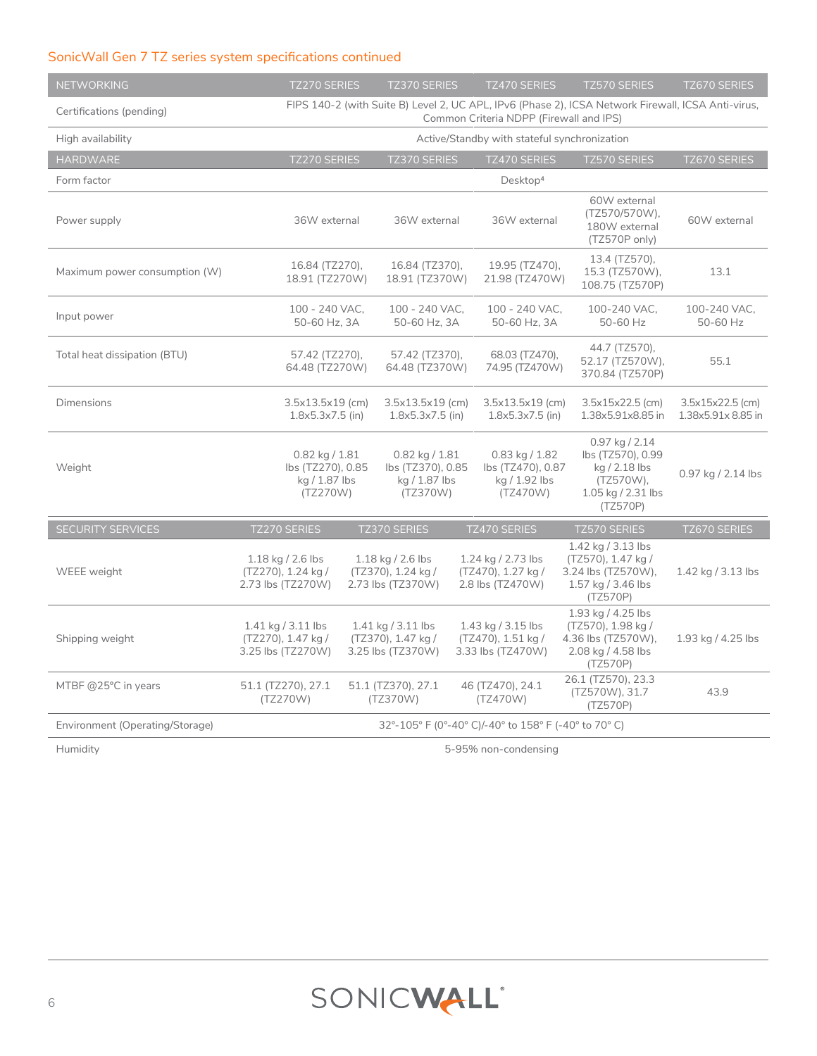# SonicWall Gen 7 TZ series system specifications continued

| <b>NETWORKING</b>               | <b>TZ270 SERIES</b>                                                  |                                                                                                                                               | TZ370 SERIES                                                         |  | TZ470 SERIES                                                         | <b>TZ570 SERIES</b>                                                                                   | TZ670 SERIES                           |
|---------------------------------|----------------------------------------------------------------------|-----------------------------------------------------------------------------------------------------------------------------------------------|----------------------------------------------------------------------|--|----------------------------------------------------------------------|-------------------------------------------------------------------------------------------------------|----------------------------------------|
| Certifications (pending)        |                                                                      | FIPS 140-2 (with Suite B) Level 2, UC APL, IPv6 (Phase 2), ICSA Network Firewall, ICSA Anti-virus,<br>Common Criteria NDPP (Firewall and IPS) |                                                                      |  |                                                                      |                                                                                                       |                                        |
| High availability               |                                                                      | Active/Standby with stateful synchronization                                                                                                  |                                                                      |  |                                                                      |                                                                                                       |                                        |
| <b>HARDWARE</b>                 | TZ270 SERIES                                                         |                                                                                                                                               | TZ370 SERIES                                                         |  | TZ470 SERIES                                                         | TZ570 SERIES                                                                                          | TZ670 SERIES                           |
| Form factor                     |                                                                      |                                                                                                                                               |                                                                      |  | Desktop <sup>4</sup>                                                 |                                                                                                       |                                        |
| Power supply                    | 36W external                                                         |                                                                                                                                               | 36W external                                                         |  | 36W external                                                         | 60W external<br>(TZ570/570W),<br>180W external<br>(TZ570P only)                                       | 60W external                           |
| Maximum power consumption (W)   | 16.84 (TZ270),<br>18.91 (TZ270W)                                     |                                                                                                                                               | 16.84 (TZ370).<br>18.91 (TZ370W)                                     |  | 19.95 (TZ470),<br>21.98 (TZ470W)                                     | 13.4 (TZ570),<br>15.3 (TZ570W),<br>108.75 (TZ570P)                                                    | 13.1                                   |
| Input power                     | 100 - 240 VAC.<br>50-60 Hz, 3A                                       |                                                                                                                                               | 100 - 240 VAC,<br>50-60 Hz, 3A                                       |  | 100 - 240 VAC,<br>50-60 Hz, 3A                                       | 100-240 VAC.<br>50-60 Hz                                                                              | 100-240 VAC,<br>50-60 Hz               |
| Total heat dissipation (BTU)    | 57.42 (TZ270),<br>64.48 (TZ270W)                                     |                                                                                                                                               | 57.42 (TZ370),<br>64.48 (TZ370W)                                     |  | 68.03 (TZ470),<br>74.95 (TZ470W)                                     | 44.7 (TZ570),<br>52.17 (TZ570W),<br>370.84 (TZ570P)                                                   | 55.1                                   |
| <b>Dimensions</b>               | 3.5x13.5x19 (cm)<br>$1.8x5.3x7.5$ (in)                               |                                                                                                                                               | 3.5x13.5x19 (cm)<br>$1.8x5.3x7.5$ (in)                               |  | 3.5x13.5x19 (cm)<br>$1.8x5.3x7.5$ (in)                               | 3.5x15x22.5 (cm)<br>1.38x5.91x8.85 in                                                                 | 3.5x15x22.5 (cm)<br>1.38x5.91x 8.85 in |
| Weight                          | $0.82$ kg $/ 1.81$<br>lbs (TZ270), 0.85<br>kg / 1.87 lbs<br>(TZ270W) |                                                                                                                                               | $0.82$ kg $/ 1.81$<br>lbs (TZ370), 0.85<br>kg / 1.87 lbs<br>(TZ370W) |  | $0.83$ kg $/ 1.82$<br>lbs (TZ470), 0.87<br>kg / 1.92 lbs<br>(TZ470W) | $0.97$ kg / 2.14<br>lbs (TZ570), 0.99<br>kg / 2.18 lbs<br>(TZ570W),<br>1.05 kg / 2.31 lbs<br>(TZ570P) | 0.97 kg / 2.14 lbs                     |
| SECURITY SERVICES               | TZ270 SERIES                                                         |                                                                                                                                               | TZ370 SERIES                                                         |  | TZ470 SERIES                                                         | <b>TZ570 SERIES</b>                                                                                   | TZ670 SERIES                           |
| WEEE weight                     | 1.18 kg / 2.6 lbs<br>(TZ270), 1.24 kg /<br>2.73 lbs (TZ270W)         |                                                                                                                                               | 1.18 kg / 2.6 lbs<br>(TZ370), 1.24 kg /<br>2.73 lbs (TZ370W)         |  | 1.24 kg / 2.73 lbs<br>(TZ470), 1.27 kg /<br>2.8 lbs (TZ470W)         | 1.42 kg / 3.13 lbs<br>(TZ570), 1.47 kg /<br>3.24 lbs (TZ570W),<br>1.57 kg / 3.46 lbs<br>(TZ570P)      | 1.42 kg / 3.13 lbs                     |
| Shipping weight                 | 1.41 kg / 3.11 lbs<br>(TZ270), 1.47 kg /<br>3.25 lbs (TZ270W)        |                                                                                                                                               | $1.41$ kg $/$ 3.11 lbs<br>(TZ370), 1.47 kg /<br>3.25 lbs (TZ370W)    |  | 1.43 kg / 3.15 lbs<br>(TZ470), 1.51 kg /<br>3.33 lbs (TZ470W)        | 1.93 kg / 4.25 lbs<br>(TZ570), 1.98 kg /<br>4.36 lbs (TZ570W),<br>2.08 kg / 4.58 lbs<br>(TZ570P)      | 1.93 kg / 4.25 lbs                     |
| MTBF @25°C in years             | 51.1 (TZ270), 27.1<br>(TZ270W)                                       |                                                                                                                                               | 51.1 (TZ370), 27.1<br>(TZ370W)                                       |  | 46 (TZ470), 24.1<br>(TZ470W)                                         | 26.1 (TZ570), 23.3<br>(TZ570W), 31.7<br>(TZ570P)                                                      | 43.9                                   |
| Environment (Operating/Storage) | 32°-105° F (0°-40° C)/-40° to 158° F (-40° to 70° C)                 |                                                                                                                                               |                                                                      |  |                                                                      |                                                                                                       |                                        |
| Humidity                        | 5-95% non-condensing                                                 |                                                                                                                                               |                                                                      |  |                                                                      |                                                                                                       |                                        |

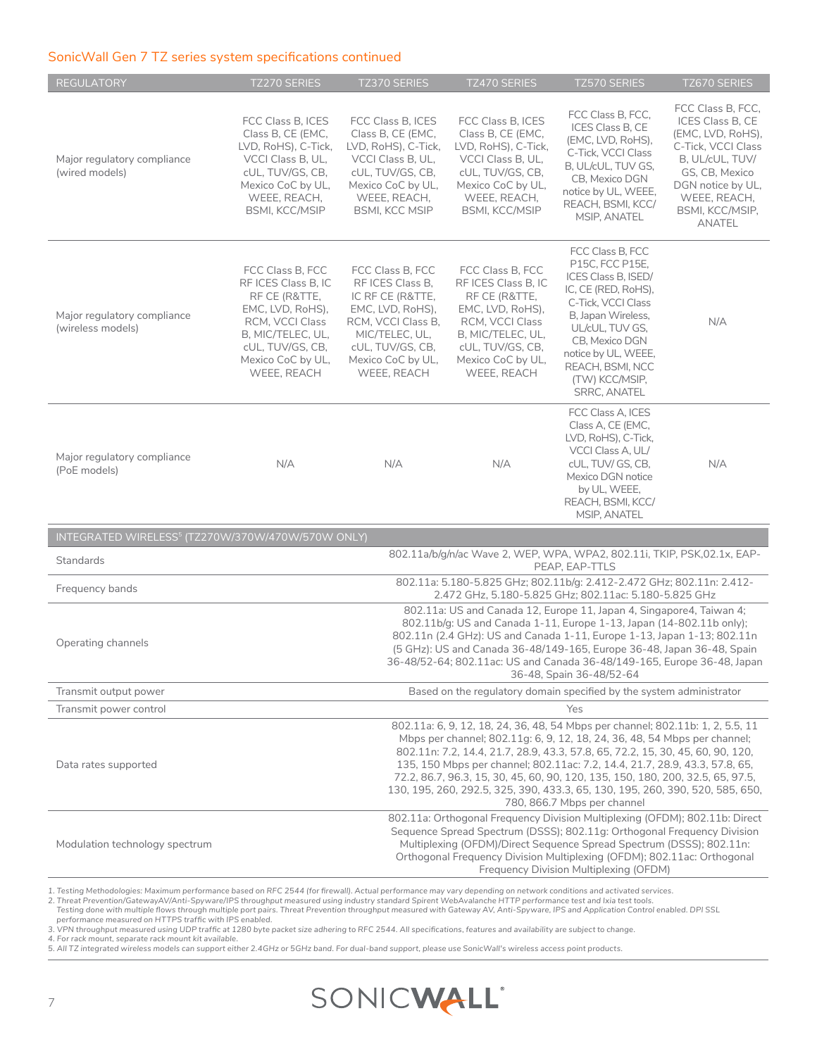#### SonicWall Gen 7 TZ series system specifications continued

| <b>REGULATORY</b>                                                                                      | <b>TZ270 SERIES</b>                                                                                                                                                                                                                                                                                                                                                                                                                                                                                                            | <b>TZ370 SERIES</b>                                                                                                                                                                                                                                                                                                                                 | <b>TZ470 SERIES</b>                                                                                                                                                          | <b>TZ570 SERIES</b>                                                                                                                                                                                                                                    | <b>TZ670 SERIES</b>                                                                                                                                                                            |  |
|--------------------------------------------------------------------------------------------------------|--------------------------------------------------------------------------------------------------------------------------------------------------------------------------------------------------------------------------------------------------------------------------------------------------------------------------------------------------------------------------------------------------------------------------------------------------------------------------------------------------------------------------------|-----------------------------------------------------------------------------------------------------------------------------------------------------------------------------------------------------------------------------------------------------------------------------------------------------------------------------------------------------|------------------------------------------------------------------------------------------------------------------------------------------------------------------------------|--------------------------------------------------------------------------------------------------------------------------------------------------------------------------------------------------------------------------------------------------------|------------------------------------------------------------------------------------------------------------------------------------------------------------------------------------------------|--|
| Major regulatory compliance<br>(wired models)                                                          | FCC Class B. ICES<br>Class B, CE (EMC,<br>LVD, RoHS), C-Tick,<br>VCCI Class B, UL,<br>cUL, TUV/GS, CB,<br>Mexico CoC by UL,<br>WEEE, REACH,<br><b>BSMI, KCC/MSIP</b>                                                                                                                                                                                                                                                                                                                                                           | FCC Class B. ICES<br>Class B, CE (EMC,<br>LVD, RoHS), C-Tick,<br>VCCI Class B, UL,<br>cUL, TUV/GS, CB,<br>Mexico CoC by UL,<br>WEEE, REACH,<br><b>BSMI, KCC MSIP</b>                                                                                                                                                                                | FCC Class B, ICES<br>Class B, CE (EMC,<br>LVD, RoHS), C-Tick,<br>VCCI Class B, UL,<br>cUL, TUV/GS, CB,<br>Mexico CoC by UL,<br>WEEE, REACH,<br><b>BSMI, KCC/MSIP</b>         | FCC Class B, FCC,<br>ICES Class B, CE<br>(EMC, LVD, RoHS),<br>C-Tick, VCCI Class<br>B, UL/cUL, TUV GS,<br>CB, Mexico DGN<br>notice by UL, WEEE,<br>REACH, BSMI, KCC/<br>MSIP, ANATEL                                                                   | FCC Class B, FCC,<br>ICES Class B, CE<br>(EMC, LVD, RoHS),<br>C-Tick, VCCI Class<br>B, UL/cUL, TUV/<br>GS, CB, Mexico<br>DGN notice by UL,<br>WEEE, REACH,<br>BSMI, KCC/MSIP,<br><b>ANATEL</b> |  |
| Major regulatory compliance<br>(wireless models)                                                       | FCC Class B, FCC<br>RF ICES Class B, IC<br>RF CE (R&TTE,<br>EMC, LVD, RoHS),<br>RCM, VCCI Class<br>B, MIC/TELEC, UL,<br>cUL, TUV/GS, CB,<br>Mexico CoC by UL,<br>WEEE, REACH                                                                                                                                                                                                                                                                                                                                                   | FCC Class B, FCC<br>RF ICES Class B,<br>IC RF CE (R&TTE,<br>EMC, LVD, RoHS),<br>RCM, VCCI Class B,<br>MIC/TELEC, UL,<br>cUL, TUV/GS, CB,<br>Mexico CoC by UL,<br>WEEE, REACH                                                                                                                                                                        | FCC Class B, FCC<br>RF ICES Class B, IC<br>RF CE (R&TTE,<br>EMC, LVD, RoHS),<br>RCM, VCCI Class<br>B, MIC/TELEC, UL,<br>cUL, TUV/GS, CB,<br>Mexico CoC by UL,<br>WEEE, REACH | FCC Class B, FCC<br>P15C, FCC P15E,<br>ICES Class B, ISED/<br>IC, CE (RED, RoHS),<br>C-Tick, VCCI Class<br>B, Japan Wireless,<br>UL/cUL, TUV GS,<br>CB, Mexico DGN<br>notice by UL, WEEE,<br>REACH, BSMI, NCC<br>(TW) KCC/MSIP,<br><b>SRRC, ANATEL</b> | N/A                                                                                                                                                                                            |  |
| Major regulatory compliance<br>(PoE models)                                                            | N/A                                                                                                                                                                                                                                                                                                                                                                                                                                                                                                                            | N/A                                                                                                                                                                                                                                                                                                                                                 | N/A                                                                                                                                                                          | FCC Class A, ICES<br>Class A, CE (EMC,<br>LVD, RoHS), C-Tick,<br>VCCI Class A, UL/<br>cUL, TUV/ GS, CB,<br>Mexico DGN notice<br>by UL, WEEE,<br>REACH, BSMI, KCC/<br>MSIP, ANATEL                                                                      | N/A                                                                                                                                                                                            |  |
| INTEGRATED WIRELESS <sup>5</sup> (TZ270W/370W/470W/570W ONLY)                                          |                                                                                                                                                                                                                                                                                                                                                                                                                                                                                                                                |                                                                                                                                                                                                                                                                                                                                                     |                                                                                                                                                                              |                                                                                                                                                                                                                                                        |                                                                                                                                                                                                |  |
| 802.11a/b/g/n/ac Wave 2, WEP, WPA, WPA2, 802.11i, TKIP, PSK,02.1x, EAP-<br>Standards<br>PEAP, EAP-TTLS |                                                                                                                                                                                                                                                                                                                                                                                                                                                                                                                                |                                                                                                                                                                                                                                                                                                                                                     |                                                                                                                                                                              |                                                                                                                                                                                                                                                        |                                                                                                                                                                                                |  |
| Frequency bands                                                                                        | 802.11a: 5.180-5.825 GHz; 802.11b/g: 2.412-2.472 GHz; 802.11n: 2.412-<br>2.472 GHz, 5.180-5.825 GHz; 802.11ac: 5.180-5.825 GHz                                                                                                                                                                                                                                                                                                                                                                                                 |                                                                                                                                                                                                                                                                                                                                                     |                                                                                                                                                                              |                                                                                                                                                                                                                                                        |                                                                                                                                                                                                |  |
| Operating channels                                                                                     | 802.11a: US and Canada 12, Europe 11, Japan 4, Singapore4, Taiwan 4;<br>802.11b/g: US and Canada 1-11, Europe 1-13, Japan (14-802.11b only);<br>802.11n (2.4 GHz): US and Canada 1-11, Europe 1-13, Japan 1-13; 802.11n<br>(5 GHz): US and Canada 36-48/149-165, Europe 36-48, Japan 36-48, Spain<br>36-48/52-64; 802.11ac: US and Canada 36-48/149-165, Europe 36-48, Japan<br>36-48, Spain 36-48/52-64                                                                                                                       |                                                                                                                                                                                                                                                                                                                                                     |                                                                                                                                                                              |                                                                                                                                                                                                                                                        |                                                                                                                                                                                                |  |
| Transmit output power                                                                                  |                                                                                                                                                                                                                                                                                                                                                                                                                                                                                                                                |                                                                                                                                                                                                                                                                                                                                                     |                                                                                                                                                                              | Based on the regulatory domain specified by the system administrator                                                                                                                                                                                   |                                                                                                                                                                                                |  |
| Transmit power control                                                                                 |                                                                                                                                                                                                                                                                                                                                                                                                                                                                                                                                |                                                                                                                                                                                                                                                                                                                                                     |                                                                                                                                                                              | Yes                                                                                                                                                                                                                                                    |                                                                                                                                                                                                |  |
| Data rates supported                                                                                   | 802.11a: 6, 9, 12, 18, 24, 36, 48, 54 Mbps per channel; 802.11b: 1, 2, 5.5, 11<br>Mbps per channel; 802.11g: 6, 9, 12, 18, 24, 36, 48, 54 Mbps per channel;<br>802.11n: 7.2, 14.4, 21.7, 28.9, 43.3, 57.8, 65, 72.2, 15, 30, 45, 60, 90, 120,<br>135, 150 Mbps per channel; 802.11ac: 7.2, 14.4, 21.7, 28.9, 43.3, 57.8, 65,<br>72.2, 86.7, 96.3, 15, 30, 45, 60, 90, 120, 135, 150, 180, 200, 32.5, 65, 97.5,<br>130, 195, 260, 292.5, 325, 390, 433.3, 65, 130, 195, 260, 390, 520, 585, 650,<br>780, 866.7 Mbps per channel |                                                                                                                                                                                                                                                                                                                                                     |                                                                                                                                                                              |                                                                                                                                                                                                                                                        |                                                                                                                                                                                                |  |
| Modulation technology spectrum                                                                         |                                                                                                                                                                                                                                                                                                                                                                                                                                                                                                                                | 802.11a: Orthogonal Frequency Division Multiplexing (OFDM); 802.11b: Direct<br>Sequence Spread Spectrum (DSSS); 802.11g: Orthogonal Frequency Division<br>Multiplexing (OFDM)/Direct Sequence Spread Spectrum (DSSS); 802.11n:<br>Orthogonal Frequency Division Multiplexing (OFDM); 802.11ac: Orthogonal<br>Frequency Division Multiplexing (OFDM) |                                                                                                                                                                              |                                                                                                                                                                                                                                                        |                                                                                                                                                                                                |  |

1. Testing Methodologies: Maximum performance based on RFC 2544 (for firewall). Actual performance may vary depending on network conditions and activated services.<br>2. Threat Prevention/GatewayAV/Anti-Spyware/IPS throughput

*4. For rack mount, separate rack mount kit available. 5. All TZ integrated wireless models can support either 2.4GHz or 5GHz band. For dual-band support, please use SonicWall's wireless access point products.*

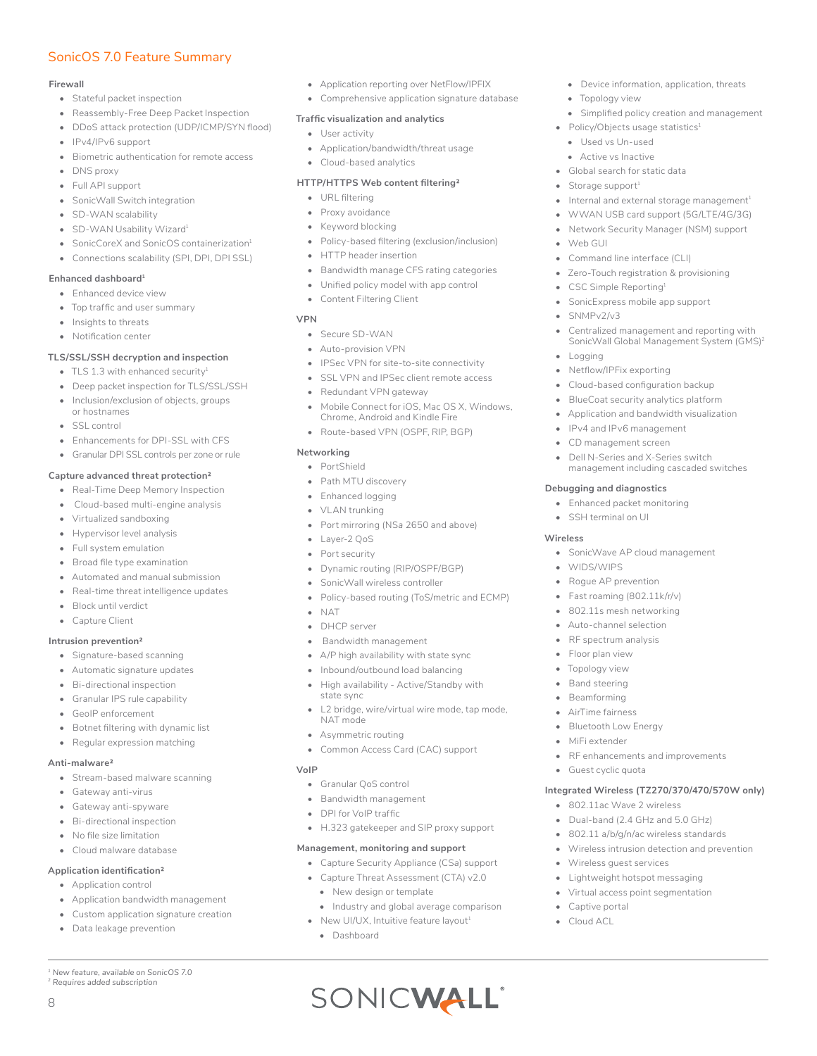# SonicOS 7.0 Feature Summary

#### **Firewall**

- Stateful packet inspection
- Reassembly-Free Deep Packet Inspection
- DDoS attack protection (UDP/ICMP/SYN flood)
- IPv4/IPv6 support
- Biometric authentication for remote access
- DNS proxy
- Full API support
- SonicWall Switch integration
- SD-WAN scalability
- SD-WAN Usability Wizard<sup>1</sup>
- SonicCoreX and SonicOS containerization<sup>1</sup>
- Connections scalability (SPI, DPI, DPI SSL)

#### **Enhanced dashboard1**

- Enhanced device view
- Top traffic and user summary
- Insights to threats
- Notification center

#### **TLS/SSL/SSH decryption and inspection**

- TLS 1.3 with enhanced security<sup>1</sup>
- Deep packet inspection for TLS/SSL/SSH
- Inclusion/exclusion of objects, groups or hostnames
- SSL control
- Enhancements for DPI-SSL with CFS
- Granular DPI SSL controls per zone or rule

#### **Capture advanced threat protection2**

- Real-Time Deep Memory Inspection
- Cloud-based multi-engine analysis
- Virtualized sandboxing
- Hypervisor level analysis
- Full system emulation
- Broad file type examination
- Automated and manual submission
- Real-time threat intelligence updates
- Block until verdict
- Capture Client

#### **Intrusion prevention2**

- Signature-based scanning
- Automatic signature updates
- Bi-directional inspection
- Granular IPS rule capability
- GeoIP enforcement
- Botnet filtering with dynamic list
- Regular expression matching

#### **Anti-malware2**

- Stream-based malware scanning
- Gateway anti-virus
- Gateway anti-spyware
- Bi-directional inspection
- No file size limitation
- Cloud malware database

#### **Application identification2**

- Application control
- Application bandwidth management
- Custom application signature creation
- Data leakage prevention

*1 New feature, available on SonicOS 7.0 2 Requires added subscription*

8

- Application reporting over NetFlow/IPFIX
- Comprehensive application signature database

• Device information, application, threats

Internal and external storage management $^1$ • WWAN USB card support (5G/LTE/4G/3G) • Network Security Manager (NSM) support

• Centralized management and reporting with SonicWall Global Management System (GMS)2

Simplified policy creation and management

• Topology view

• Web GUI

• SNMPv2/v3

• Logging

• Policy/Objects usage statistics $1$ • Used vs Un-used • Active vs Inactive • Global search for static data Storage support $1$ 

• Command line interface (CLI) • Zero-Touch registration & provisioning

• SonicExpress mobile app support

• Cloud-based configuration backup • BlueCoat security analytics platform • Application and bandwidth visualization

• IPv4 and IPv6 management • CD management screen Dell N-Series and X-Series switch management including cascaded switches

• SonicWave AP cloud management

• RF enhancements and improvements

**Integrated Wireless (TZ270/370/470/570W only)**

• CSC Simple Reporting1

• Netflow/IPFix exporting

**Debugging and diagnostics** • Enhanced packet monitoring • SSH terminal on UI

• WIDS/WIPS • Rogue AP prevention • Fast roaming (802.11k/r/v) • 802.11s mesh networking • Auto-channel selection RF spectrum analysis • Floor plan view Topology view • Band steering • Beamforming • AirTime fairness • Bluetooth Low Energy

• MiFi extender

• Guest cyclic quota

• 802.11ac Wave 2 wireless • Dual-band (2.4 GHz and 5.0 GHz) • 802.11 a/b/g/n/ac wireless standards • Wireless intrusion detection and prevention

• Wireless guest services • Lightweight hotspot messaging • Virtual access point segmentation

• Captive portal • Cloud ACL

**Wireless**

#### **Traffic visualization and analytics**

- User activity
- Application/bandwidth/threat usage
- Cloud-based analytics

#### **HTTP/HTTPS Web content filtering2**

- URL filtering
- Proxy avoidance
- Keyword blocking
- Policy-based filtering (exclusion/inclusion)
- HTTP header insertion
- Bandwidth manage CFS rating categories
- Unified policy model with app control
- Content Filtering Client

#### **VPN**

- Secure SD-WAN
- Auto-provision VPN
- IPSec VPN for site-to-site connectivity
- SSL VPN and IPSec client remote access
- Redundant VPN gateway
- Mobile Connect for iOS, Mac OS X, Windows, Chrome, Android and Kindle Fire
- Route-based VPN (OSPF, RIP, BGP)

#### **Networking**

- PortShield
- Path MTU discovery
- Enhanced logging
- VLAN trunking
- Port mirroring (NS*a* 2650 and above)
- Layer-2 QoS
- Port security
- Dynamic routing (RIP/OSPF/BGP)
- SonicWall wireless controller
- Policy-based routing (ToS/metric and ECMP)
- NAT
- DHCP server
- Bandwidth management
- A/P high availability with state sync
- Inbound/outbound load balancing
- High availability Active/Standby with state sync
- L2 bridge, wire/virtual wire mode, tap mode, NAT mode

• H.323 gatekeeper and SIP proxy support

• Industry and global average comparison

SONICWALL®

**Management, monitoring and support**  • Capture Security Appliance (CS*a*) support • Capture Threat Assessment (CTA) v2.0 • New design or template

• New UI/UX, Intuitive feature layout<sup>1</sup>

• Asymmetric routing • Common Access Card (CAC) support

• Granular QoS control • Bandwidth management • DPI for VoIP traffic

• Dashboard

**VoIP**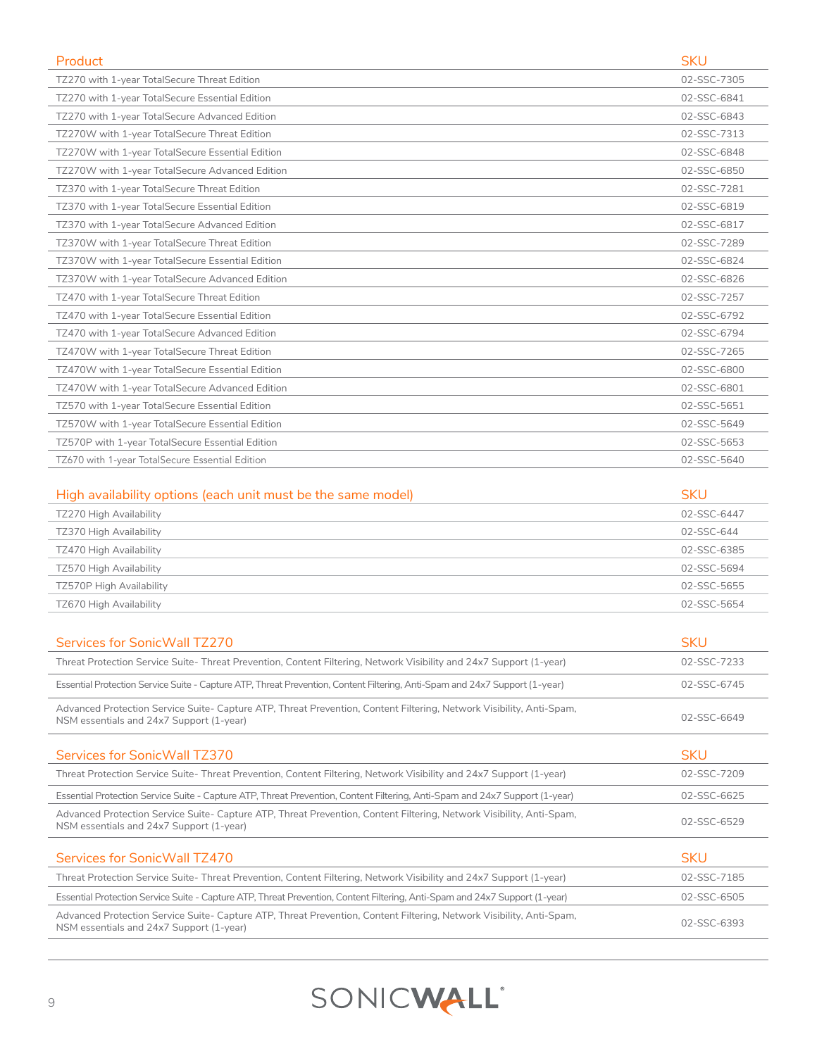| Product                                          | <b>SKU</b>  |
|--------------------------------------------------|-------------|
| TZ270 with 1-year TotalSecure Threat Edition     | 02-SSC-7305 |
| TZ270 with 1-year TotalSecure Essential Edition  | 02-SSC-6841 |
| TZ270 with 1-year TotalSecure Advanced Edition   | 02-SSC-6843 |
| TZ270W with 1-year TotalSecure Threat Edition    | 02-SSC-7313 |
| TZ270W with 1-year TotalSecure Essential Edition | 02-SSC-6848 |
| TZ270W with 1-year TotalSecure Advanced Edition  | 02-SSC-6850 |
| TZ370 with 1-year TotalSecure Threat Edition     | 02-SSC-7281 |
| TZ370 with 1-year TotalSecure Essential Edition  | 02-SSC-6819 |
| TZ370 with 1-year TotalSecure Advanced Edition   | 02-SSC-6817 |
| TZ370W with 1-year TotalSecure Threat Edition    | 02-SSC-7289 |
| TZ370W with 1-year TotalSecure Essential Edition | 02-SSC-6824 |
| TZ370W with 1-year TotalSecure Advanced Edition  | 02-SSC-6826 |
| TZ470 with 1-year TotalSecure Threat Edition     | 02-SSC-7257 |
| TZ470 with 1-year TotalSecure Essential Edition  | 02-SSC-6792 |
| TZ470 with 1-year TotalSecure Advanced Edition   | 02-SSC-6794 |
| TZ470W with 1-year TotalSecure Threat Edition    | 02-SSC-7265 |
| TZ470W with 1-year TotalSecure Essential Edition | 02-SSC-6800 |
| TZ470W with 1-year TotalSecure Advanced Edition  | 02-SSC-6801 |
| TZ570 with 1-year TotalSecure Essential Edition  | 02-SSC-5651 |
| TZ570W with 1-year TotalSecure Essential Edition | 02-SSC-5649 |
| TZ570P with 1-year TotalSecure Essential Edition | 02-SSC-5653 |
| TZ670 with 1-year TotalSecure Essential Edition  | 02-SSC-5640 |
|                                                  |             |

| High availability options (each unit must be the same model) | <b>SKU</b>  |
|--------------------------------------------------------------|-------------|
| TZ270 High Availability                                      | 02-SSC-6447 |
| TZ370 High Availability                                      | 02-SSC-644  |
| TZ470 High Availability                                      | 02-SSC-6385 |
| TZ570 High Availability                                      | 02-SSC-5694 |
| TZ570P High Availability                                     | 02-SSC-5655 |
| TZ670 High Availability                                      | 02-SSC-5654 |

| Services for Sonic Wall TZ270                                                                                                                                    | <b>SKU</b>  |
|------------------------------------------------------------------------------------------------------------------------------------------------------------------|-------------|
| Threat Protection Service Suite-Threat Prevention, Content Filtering, Network Visibility and 24x7 Support (1-year)                                               | 02-SSC-7233 |
| Essential Protection Service Suite - Capture ATP, Threat Prevention, Content Filtering, Anti-Spam and 24x7 Support (1-year)                                      | 02-SSC-6745 |
| Advanced Protection Service Suite- Capture ATP, Threat Prevention, Content Filtering, Network Visibility, Anti-Spam,<br>NSM essentials and 24x7 Support (1-year) | 02-SSC-6649 |
| Services for SonicWall TZ370                                                                                                                                     | <b>SKU</b>  |
| Threat Protection Service Suite-Threat Prevention, Content Filtering, Network Visibility and 24x7 Support (1-year)                                               | 02-SSC-7209 |
| Essential Protection Service Suite - Capture ATP, Threat Prevention, Content Filtering, Anti-Spam and 24x7 Support (1-year)                                      | 02-SSC-6625 |
| Advanced Protection Service Suite- Capture ATP, Threat Prevention, Content Filtering, Network Visibility, Anti-Spam,<br>NSM essentials and 24x7 Support (1-year) | 02-SSC-6529 |
| Services for SonicWall TZ470                                                                                                                                     | <b>SKU</b>  |
| Threat Protection Service Suite-Threat Prevention, Content Filtering, Network Visibility and 24x7 Support (1-year)                                               | 02-SSC-7185 |
| Essential Protection Service Suite - Capture ATP, Threat Prevention, Content Filtering, Anti-Spam and 24x7 Support (1-year)                                      | 02-SSC-6505 |
| Advanced Protection Service Suite- Capture ATP, Threat Prevention, Content Filtering, Network Visibility, Anti-Spam,<br>NSM essentials and 24x7 Support (1-year) | 02-SSC-6393 |